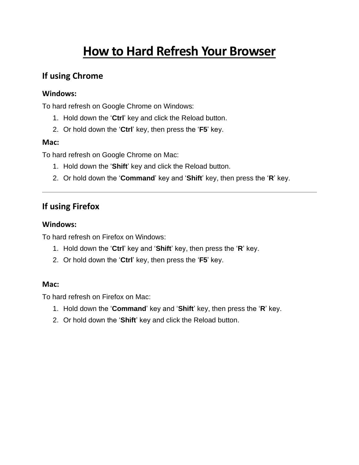# **How to Hard Refresh Your Browser**

## **If using Chrome**

### **Windows:**

To hard refresh on Google Chrome on Windows:

- 1. Hold down the '**Ctrl**' key and click the Reload button.
- 2. Or hold down the '**Ctrl**' key, then press the '**F5**' key.

### **Mac:**

To hard refresh on Google Chrome on Mac:

- 1. Hold down the '**Shift**' key and click the Reload button.
- 2. Or hold down the '**Command**' key and '**Shift**' key, then press the '**R**' key.

## **If using Firefox**

### **Windows:**

To hard refresh on Firefox on Windows:

- 1. Hold down the '**Ctrl**' key and '**Shift**' key, then press the '**R**' key.
- 2. Or hold down the '**Ctrl**' key, then press the '**F5**' key.

#### **Mac:**

To hard refresh on Firefox on Mac:

- 1. Hold down the '**Command**' key and '**Shift**' key, then press the '**R**' key.
- 2. Or hold down the '**Shift**' key and click the Reload button.